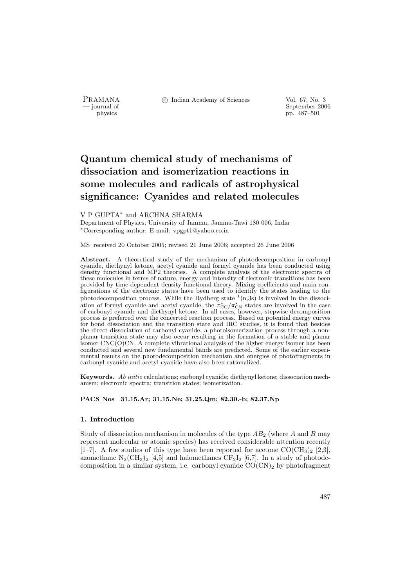PRAMANA <sup>C</sup> Indian Academy of Sciences Vol. 67, No. 3<br>
— iournal of September 200

position of the september 2006 of the september 2006 of the september 2006 of the september 2006 of the september 2006 of the september 2006 of the september 2006 of the september 2006 of the september 2006 of the septembe pp. 487–501

# Quantum chemical study of mechanisms of dissociation and isomerization reactions in some molecules and radicals of astrophysical significance: Cyanides and related molecules

### V P GUPTA<sup>∗</sup> and ARCHNA SHARMA

Department of Physics, University of Jammu, Jammu-Tawi 180 006, India <sup>∗</sup>Corresponding author: E-mail: vpgpt1@yahoo.co.in

### MS received 20 October 2005; revised 21 June 2006; accepted 26 June 2006

Abstract. A theoretical study of the mechanism of photodecomposition in carbonyl cyanide, diethynyl ketone, acetyl cyanide and formyl cyanide has been conducted using density functional and MP2 theories. A complete analysis of the electronic spectra of these molecules in terms of nature, energy and intensity of electronic transitions has been provided by time-dependent density functional theory. Mixing coefficients and main configurations of the electronic states have been used to identify the states leading to the photodecomposition process. While the Rydberg state  $(1,3s)$  is involved in the dissociation of formyl cyanide and acetyl cyanide, the  $\pi_{\text{CC}}^*/\pi_{\text{CN}}^*$  states are involved in the case of carbonyl cyanide and diethynyl ketone. In all cases, however, stepwise decomposition process is preferred over the concerted reaction process. Based on potential energy curves for bond dissociation and the transition state and IRC studies, it is found that besides the direct dissociation of carbonyl cyanide, a photoisomerization process through a nonplanar transition state may also occur resulting in the formation of a stable and planar isomer CNC(O)CN. A complete vibrational analysis of the higher energy isomer has been conducted and several new fundamental bands are predicted. Some of the earlier experimental results on the photodecomposition mechanism and energies of photofragments in carbonyl cyanide and acetyl cyanide have also been rationalized.

Keywords. Ab initio calculations; carbonyl cyanide; diethynyl ketone; dissociation mechanism; electronic spectra; transition states; isomerization.

PACS Nos 31.15.Ar; 31.15.Ne; 31.25.Qm; 82.30.-b; 82.37.Np

### 1. Introduction

Study of dissociation mechanism in molecules of the type  $AB_2$  (where A and B may represent molecular or atomic species) has received considerable attention recently [1–7]. A few studies of this type have been reported for acetone  $CO(CH_3)_2$  [2,3], azomethane  $N_2(\text{CH}_3)_2$  [4,5] and halomethanes  $\text{CF}_2I_2$  [6,7]. In a study of photodecomposition in a similar system, i.e. carbonyl cyanide  $CO(CN)_2$  by photofragment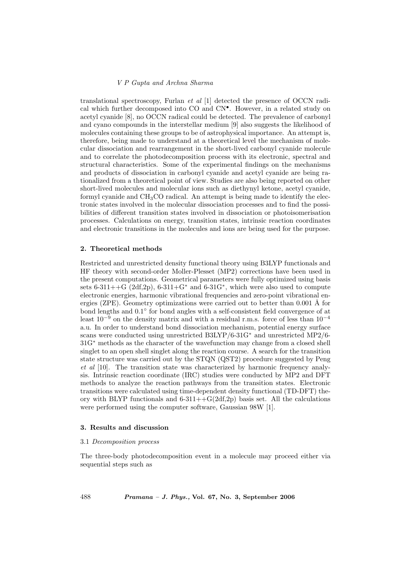translational spectroscopy, Furlan  $et \ al \ [1]$  detected the presence of OCCN radical which further decomposed into CO and CN• . However, in a related study on acetyl cyanide [8], no OCCN radical could be detected. The prevalence of carbonyl and cyano compounds in the interstellar medium [9] also suggests the likelihood of molecules containing these groups to be of astrophysical importance. An attempt is, therefore, being made to understand at a theoretical level the mechanism of molecular dissociation and rearrangement in the short-lived carbonyl cyanide molecule and to correlate the photodecomposition process with its electronic, spectral and structural characteristics. Some of the experimental findings on the mechanisms and products of dissociation in carbonyl cyanide and acetyl cyanide are being rationalized from a theoretical point of view. Studies are also being reported on other short-lived molecules and molecular ions such as diethynyl ketone, acetyl cyanide, formyl cyanide and  $CH<sub>3</sub>CO$  radical. An attempt is being made to identify the electronic states involved in the molecular dissociation processes and to find the possibilities of different transition states involved in dissociation or photoisomerisation processes. Calculations on energy, transition states, intrinsic reaction coordinates and electronic transitions in the molecules and ions are being used for the purpose.

# 2. Theoretical methods

Restricted and unrestricted density functional theory using B3LYP functionals and HF theory with second-order Moller-Plesset (MP2) corrections have been used in the present computations. Geometrical parameters were fully optimized using basis sets  $6-311++G$   $(2df,2p)$ ,  $6-311+G^*$  and  $6-31G^*$ , which were also used to compute electronic energies, harmonic vibrational frequencies and zero-point vibrational energies (ZPE). Geometry optimizations were carried out to better than  $0.001$  Å for bond lengths and  $0.1°$  for bond angles with a self-consistent field convergence of at least  $10^{-9}$  on the density matrix and with a residual r.m.s. force of less than  $10^{-4}$ a.u. In order to understand bond dissociation mechanism, potential energy surface scans were conducted using unrestricted B3LYP/6-31G<sup>∗</sup> and unrestricted MP2/6- 31G<sup>∗</sup> methods as the character of the wavefunction may change from a closed shell singlet to an open shell singlet along the reaction course. A search for the transition state structure was carried out by the STQN (QST2) procedure suggested by Peng et al [10]. The transition state was characterized by harmonic frequency analysis. Intrinsic reaction coordinate (IRC) studies were conducted by MP2 and DFT methods to analyze the reaction pathways from the transition states. Electronic transitions were calculated using time-dependent density functional (TD-DFT) theory with BLYP functionals and  $6-311++G(2df,2p)$  basis set. All the calculations were performed using the computer software, Gaussian 98W [1].

### 3. Results and discussion

### 3.1 Decomposition process

The three-body photodecomposition event in a molecule may proceed either via sequential steps such as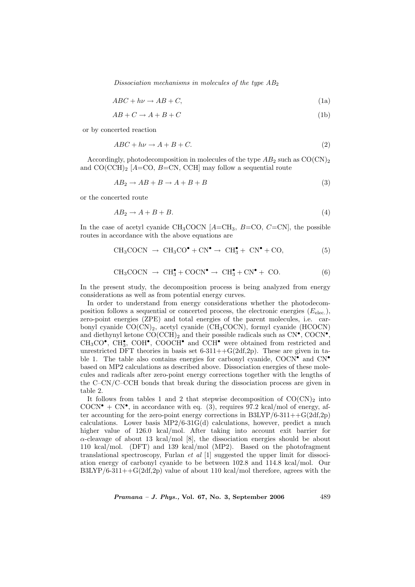Dissociation mechanisms in molecules of the type  $AB_2$ 

$$
ABC + h\nu \to AB + C,\tag{1a}
$$

$$
AB + C \to A + B + C \tag{1b}
$$

or by concerted reaction

$$
ABC + h\nu \to A + B + C. \tag{2}
$$

Accordingly, photodecomposition in molecules of the type  $AB_2$  such as  $CO(CN)_2$ and  $CO(CCH)_2$  [A=CO, B=CN, CCH] may follow a sequential route

$$
AB_2 \to AB + B \to A + B + B \tag{3}
$$

or the concerted route

$$
AB_2 \to A + B + B. \tag{4}
$$

In the case of acetyl cyanide CH<sub>3</sub>COCN  $[A=CH_3, B=CO, C=CN]$ , the possible routes in accordance with the above equations are

$$
CH_3COCN \rightarrow CH_3CO^{\bullet} + CN^{\bullet} \rightarrow CH_3^{\bullet} + CN^{\bullet} + CO,
$$
 (5)

$$
CH_3COCN \rightarrow CH_3^{\bullet} + COCN^{\bullet} \rightarrow CH_3^{\bullet} + CN^{\bullet} + CO.
$$
 (6)

In the present study, the decomposition process is being analyzed from energy considerations as well as from potential energy curves.

In order to understand from energy considerations whether the photodecomposition follows a sequential or concerted process, the electronic energies  $(E_{elec.})$ , zero-point energies (ZPE) and total energies of the parent molecules, i.e. carbonyl cyanide  $CO(CN)_2$ , acetyl cyanide (CH<sub>3</sub>COCN), formyl cyanide (HCOCN) and diethynyl ketone  $\text{CO}(\text{CCH})_2$  and their possible radicals such as  $\text{CN}^{\bullet}$ ,  $\text{COCN}^{\bullet}$ ,  $CH<sub>3</sub>CO<sup>•</sup>$ ,  $CH<sub>3</sub><sup>•</sup>$ , COH<sup>°</sup>, COOCH<sup><sup>°</sup> and CCH<sup>°</sup> were obtained from restricted and</sup> unrestricted DFT theories in basis set  $6-311++G(2df,2p)$ . These are given in table 1. The table also contains energies for carbonyl cyanide, COCN• and CN• based on MP2 calculations as described above. Dissociation energies of these molecules and radicals after zero-point energy corrections together with the lengths of the C–CN/C–CCH bonds that break during the dissociation process are given in table 2.

It follows from tables 1 and 2 that stepwise decomposition of  $CO(CN)_2$  into COCN<sup> $\bullet$ </sup> + CN $\bullet$ , in accordance with eq. (3), requires 97.2 kcal/mol of energy, after accounting for the zero-point energy corrections in B3LYP/6-311++G(2df,2p) calculations. Lower basis MP2/6-31G(d) calculations, however, predict a much higher value of 126.0 kcal/mol. After taking into account exit barrier for  $\alpha$ -cleavage of about 13 kcal/mol [8], the dissociation energies should be about 110 kcal/mol. (DFT) and 139 kcal/mol (MP2). Based on the photofragment translational spectroscopy, Furlan *et al*  $[1]$  suggested the upper limit for dissociation energy of carbonyl cyanide to be between 102.8 and 114.8 kcal/mol. Our  $B3LYP/6-311++G(2df,2p)$  value of about 110 kcal/mol therefore, agrees with the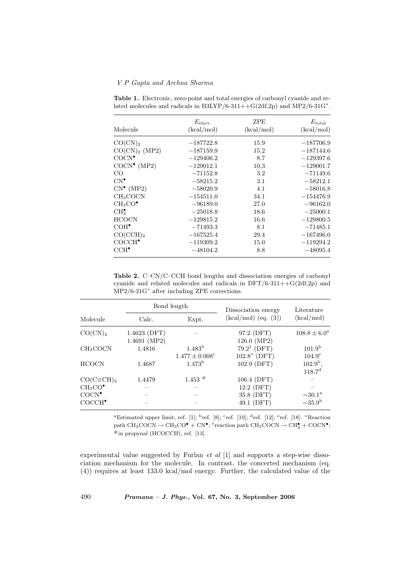|                                 | $E_{\rm elect.}$ | <b>ZPE</b> | $E_{\rm total}$ |
|---------------------------------|------------------|------------|-----------------|
| Molecule                        | (kcal/mol)       | (kcal/mol) | (kcal/mol)      |
| $CO(CN)_2$                      | $-187722.8$      | 15.9       | $-187706.9$     |
| CO(CN) <sub>2</sub> (MP2)       | $-187159.9$      | 15.2       | $-187144.6$     |
| COCN <sup>•</sup>               | $-129406.2$      | 8.7        | $-129397.6$     |
| $COCN^{\bullet}$ (MP2)          | $-129012.1$      | 10.3       | $-129001.7$     |
| CO                              | $-71152.8$       | $3.2\,$    | $-71149.6$      |
| $CN^{\bullet}$                  | $-58215.2$       | 3.1        | $-58212.1$      |
| $CN^{\bullet}$ (MP2)            | $-58020.9$       | 4.1        | $-58016.8$      |
| CH <sub>3</sub> COCN            | $-154511.0$      | 34.1       | $-154476.9$     |
| CH <sub>3</sub> CO <sup>•</sup> | $-96189.0$       | 27.0       | $-96162.0$      |
| CH <sub>3</sub>                 | $-25018.8$       | 18.6       | $-25000.1$      |
| <b>HCOCN</b>                    | $-129815.2$      | 16.6       | $-129800.5$     |
| $COH^{\bullet}$                 | $-71493.3$       | 8.1        | $-71485.1$      |
| CO(CCH) <sub>2</sub>            | $-167525.4$      | 29.4       | $-167496.0$     |
| COCCH <sup>•</sup>              | $-119309.2$      | 15.0       | $-119294.2$     |
| $\mathrm{CCH}^{\bullet}$        | $-48104.2$       | 8.8        | $-48095.4$      |

Table 1. Electronic, zero-point and total energies of carbonyl cyanide and related molecules and radicals in  $B3LYP/6-311++G(2df,2p)$  and  $MP2/6-31G^*$ .

Table 2. C–CN/C–CCH bond lengths and dissociation energies of carbonyl cyanide and related molecules and radicals in  $DFT/6-311++G(2df,2p)$  and MP2/6-31G<sup>∗</sup> after including ZPE corrections.

|                      |              | Bond length                    | Dissociation energy    | Literature               |
|----------------------|--------------|--------------------------------|------------------------|--------------------------|
| Molecule             | Calc.        | Expt.                          | $(kcal/mol)$ (eq. (3)) | (kcal/mol)               |
| $CO(CN)_2$           | 1.4623 (DFT) |                                | 97.2 (DFT)             | $108.8 \pm 6.0^{\circ}$  |
|                      | 1.4691 (MP2) |                                | 126.0 (MP2)            |                          |
| CH <sub>3</sub> COCN | 1.4816       | 1.483 <sup>b</sup>             | $79.2^{\dagger}$ (DFT) | 101.9 <sup>b</sup>       |
|                      |              | $1.477 \pm 0.008$ <sup>c</sup> | $102.8*$ (DFT)         | $104.9^{\circ}$          |
| <b>HCOCN</b>         | 1.4687       | 1.473 <sup>b</sup>             | 102.9 (DFT)            | $102.9^{\rm b}$ ,        |
|                      |              |                                |                        | 118.7 <sup>d</sup>       |
| $CO(C\equiv CH)_{2}$ | 1.4479       | $1.453$ #                      | 106.4 (DFT)            |                          |
| $CH_3CO^{\bullet}$   |              |                                | 12.2 (DFT)             |                          |
| COCN <sup>•</sup>    |              |                                | 35.8 (DFT)             | $\sim$ 30.1 <sup>a</sup> |
| COCCH <sup>•</sup>   |              |                                | 49.1 (DFT)             | $\sim$ 35.9 <sup>b</sup> |

<sup>a</sup>Estimated upper limit, ref. [1]; <sup>b</sup>ref. [8]; <sup>c</sup>ref. [10]; <sup>d</sup>ref. [12]; <sup>e</sup>ref. [18]. \*Reaction path CH<sub>3</sub>COCN  $\rightarrow$  CH<sub>3</sub>CO<sup> $\bullet$ </sup> + CN<sup> $\bullet$ </sup>; <sup>†</sup>reaction path CH<sub>3</sub>COCN  $\rightarrow$  CH<sub>3</sub><sup> $\bullet$ </sup> + COCN<sup> $\bullet$ </sup>;  $#$ in propynal (HCOCCH), ref. [13].

experimental value suggested by Furlan  $et$  al  $[1]$  and supports a step-wise dissociation mechanism for the molecule. In contrast, the concerted mechanism (eq. (4)) requires at least 133.0 kcal/mol energy. Further, the calculated value of the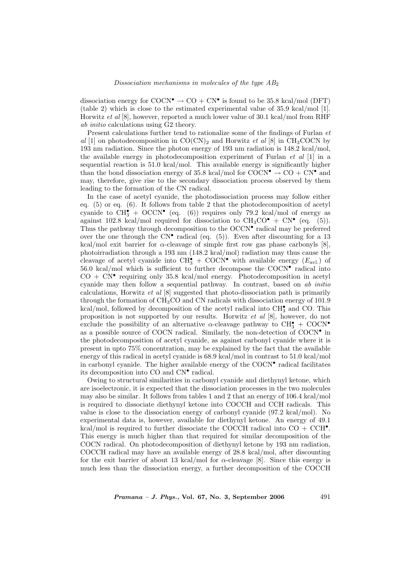dissociation energy for COCN<sup> $\bullet$ </sup>  $\rightarrow$  CO + CN $\bullet$  is found to be 35.8 kcal/mol (DFT) (table 2) which is close to the estimated experimental value of 35.9 kcal/mol [1]. Horwitz et al [8], however, reported a much lower value of 30.1 kcal/mol from RHF ab initio calculations using G2 theory.

Present calculations further tend to rationalize some of the findings of Furlan et al [1] on photodecomposition in  $CO(CN)_2$  and Horwitz *et al* [8] in CH<sub>3</sub>COCN by 193 nm radiation. Since the photon energy of 193 nm radiation is 148.2 kcal/mol, the available energy in photodecomposition experiment of Furlan  $et \ al \ [1]$  in a sequential reaction is 51.0 kcal/mol. This available energy is significantly higher than the bond dissociation energy of 35.8 kcal/mol for COCN $\bullet \to \text{CO} + \text{CN} \bullet$  and may, therefore, give rise to the secondary dissociation process observed by them leading to the formation of the CN radical.

In the case of acetyl cyanide, the photodissociation process may follow either eq. (5) or eq. (6). It follows from table 2 that the photodecomposition of acetyl cyanide to  $\overline{CH_3^{\bullet}} + \overline{OCCN^{\bullet}}$  (eq. (6)) requires only 79.2 kcal/mol of energy as against 102.8 kcal/mol required for dissociation to  $CH_3CO^{\bullet} + CN^{\bullet}$  (eq. (5)). Thus the pathway through decomposition to the OCCN<sup>•</sup> radical may be preferred over the one through the  $CN^{\bullet}$  radical (eq. (5)). Even after discounting for a 13 kcal/mol exit barrier for  $\alpha$ -cleavage of simple first row gas phase carbonyls [8], photoirradiation through a 193 nm (148.2 kcal/mol) radiation may thus cause the cleavage of acetyl cyanide into  $\text{CH}_3^{\bullet} + \text{COCN}^{\bullet}$  with available energy  $(E_{\text{avl.}})$  of 56.0 kcal/mol which is sufficient to further decompose the COCN• radical into  $CO + CN^{\bullet}$  requiring only 35.8 kcal/mol energy. Photodecomposition in acetyl cyanide may then follow a sequential pathway. In contrast, based on ab initio calculations, Horwitz et al [8] suggested that photo-dissociation path is primarily through the formation of CH3CO and CN radicals with dissociation energy of 101.9 kcal/mol, followed by decomposition of the acetyl radical into  $\mathrm{CH}_3^{\bullet}$  and CO. This proposition is not supported by our results. Horwitz et al [8], however, do not exclude the possibility of an alternative  $\alpha$ -cleavage pathway to CH<sub>3</sub> + COCN<sup>•</sup> as a possible source of COCN radical. Similarly, the non-detection of COCN• in the photodecomposition of acetyl cyanide, as against carbonyl cyanide where it is present in upto 75% concentration, may be explained by the fact that the available energy of this radical in acetyl cyanide is 68.9 kcal/mol in contrast to 51.0 kcal/mol in carbonyl cyanide. The higher available energy of the COCN• radical facilitates its decomposition into CO and CN• radical.

Owing to structural similarities in carbonyl cyanide and diethynyl ketone, which are isoelectronic, it is expected that the dissociation processes in the two molecules may also be similar. It follows from tables 1 and 2 that an energy of 106.4 kcal/mol is required to dissociate diethynyl ketone into COCCH and CCH radicals. This value is close to the dissociation energy of carbonyl cyanide (97.2 kcal/mol). No experimental data is, however, available for diethynyl ketone. An energy of 49.1 kcal/mol is required to further dissociate the COCCH radical into  $CO + CCH^{\bullet}$ . This energy is much higher than that required for similar decomposition of the COCN radical. On photodecomposition of diethynyl ketone by 193 nm radiation, COCCH radical may have an available energy of 28.8 kcal/mol, after discounting for the exit barrier of about 13 kcal/mol for  $\alpha$ -cleavage [8]. Since this energy is much less than the dissociation energy, a further decomposition of the COCCH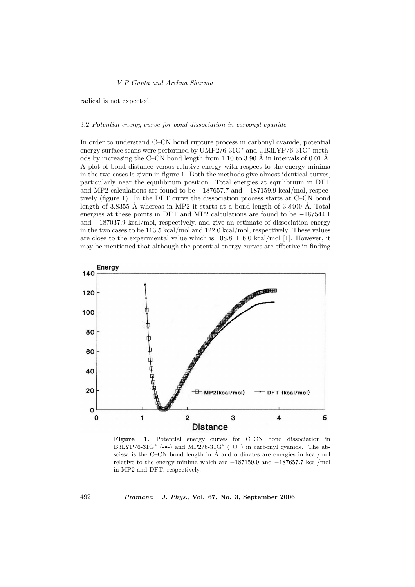radical is not expected.

### 3.2 Potential energy curve for bond dissociation in carbonyl cyanide

In order to understand C–CN bond rupture process in carbonyl cyanide, potential energy surface scans were performed by UMP2/6-31G<sup>∗</sup> and UB3LYP/6-31G<sup>∗</sup> methods by increasing the C–CN bond length from 1.10 to 3.90 Å in intervals of 0.01 Å. A plot of bond distance versus relative energy with respect to the energy minima in the two cases is given in figure 1. Both the methods give almost identical curves, particularly near the equilibrium position. Total energies at equilibrium in DFT and MP2 calculations are found to be −187657.7 and −187159.9 kcal/mol, respectively (figure 1). In the DFT curve the dissociation process starts at C–CN bond length of 3.8355 Å whereas in MP2 it starts at a bond length of  $3.8400 \text{ Å}$ . Total energies at these points in DFT and MP2 calculations are found to be −187544.1 and −187037.9 kcal/mol, respectively, and give an estimate of dissociation energy in the two cases to be 113.5 kcal/mol and 122.0 kcal/mol, respectively. These values are close to the experimental value which is  $108.8 \pm 6.0$  kcal/mol [1]. However, it may be mentioned that although the potential energy curves are effective in finding



Figure 1. Potential energy curves for C–CN bond dissociation in B3LYP/6-31G<sup>\*</sup> ( $\bullet$ -) and MP2/6-31G<sup>\*</sup> (- $\Box$ ) in carbonyl cyanide. The abscissa is the C–CN bond length in  $\AA$  and ordinates are energies in kcal/mol relative to the energy minima which are −187159.9 and −187657.7 kcal/mol in MP2 and DFT, respectively.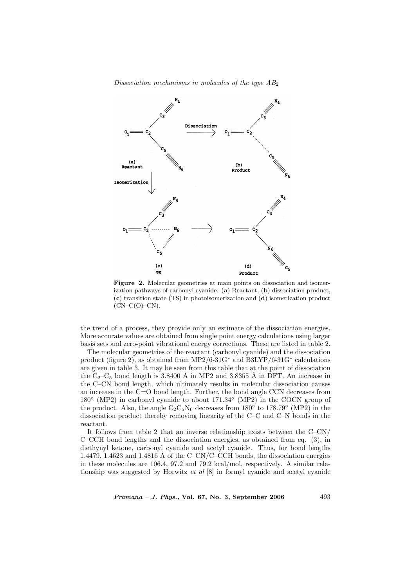Dissociation mechanisms in molecules of the type  $AB_2$ 



Figure 2. Molecular geometries at main points on dissociation and isomerization pathways of carbonyl cyanide. (a) Reactant, (b) dissociation product, (c) transition state (TS) in photoisomerization and (d) isomerization product  $(CN-C(O)-CN)$ .

the trend of a process, they provide only an estimate of the dissociation energies. More accurate values are obtained from single point energy calculations using larger basis sets and zero-point vibrational energy corrections. These are listed in table 2.

The molecular geometries of the reactant (carbonyl cyanide) and the dissociation product (figure 2), as obtained from MP2/6-31G<sup>∗</sup> and B3LYP/6-31G<sup>∗</sup> calculations are given in table 3. It may be seen from this table that at the point of dissociation the  $C_2-C_5$  bond length is 3.8400 Å in MP2 and 3.8355 Å in DFT. An increase in the C–CN bond length, which ultimately results in molecular dissociation causes an increase in the C=O bond length. Further, the bond angle CCN decreases from 180◦ (MP2) in carbonyl cyanide to about 171.34◦ (MP2) in the COCN group of the product. Also, the angle  $C_2C_5N_6$  decreases from 180 $\degree$  to 178.79 $\degree$  (MP2) in the dissociation product thereby removing linearity of the C–C and C–N bonds in the reactant.

It follows from table 2 that an inverse relationship exists between the  $C-CN/$ C–CCH bond lengths and the dissociation energies, as obtained from eq. (3), in diethynyl ketone, carbonyl cyanide and acetyl cyanide. Thus, for bond lengths 1.4479, 1.4623 and 1.4816 Å of the C–CN/C–CCH bonds, the dissociation energies in these molecules are 106.4, 97.2 and 79.2 kcal/mol, respectively. A similar relationship was suggested by Horwitz et al [8] in formyl cyanide and acetyl cyanide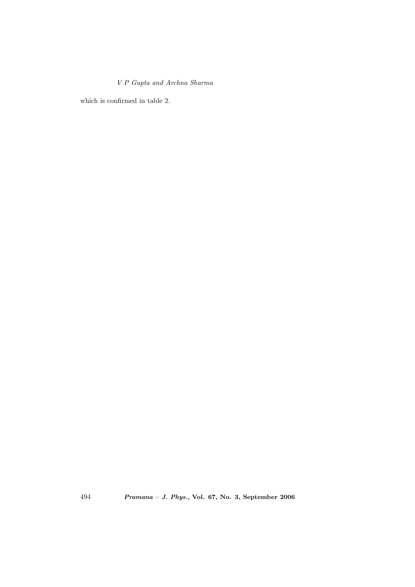which is confirmed in table 2.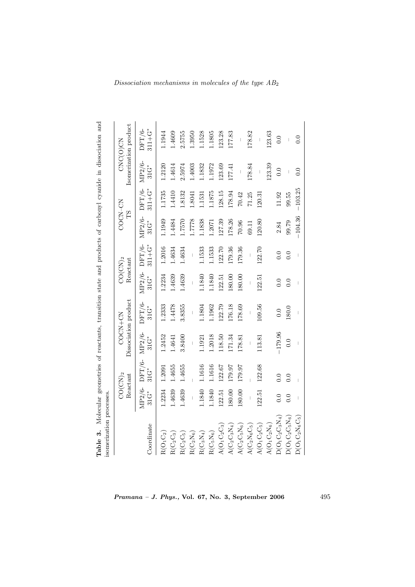| isomerization processes.<br>Table 3.   |                   |                               |                                 |                          |                        |                       |                          |                     |                                     | Molecular geometries of reactants, transition state and products of carbonyl cyanide in dissociation and                                                                                                                                                                                                                                                                         |
|----------------------------------------|-------------------|-------------------------------|---------------------------------|--------------------------|------------------------|-----------------------|--------------------------|---------------------|-------------------------------------|----------------------------------------------------------------------------------------------------------------------------------------------------------------------------------------------------------------------------------------------------------------------------------------------------------------------------------------------------------------------------------|
|                                        |                   | $CO(\text{CN})_2$<br>Reactant | Dissociation product<br>COCN+CN |                          | $CO(CN)_2$<br>Reactant |                       | COCN-CN<br>Σh            |                     |                                     | Isomerization product<br>CNC(O)CN                                                                                                                                                                                                                                                                                                                                                |
| Coordinate                             | MP2/6-<br>$31G^*$ | DFT/6-<br>$31G^*$             | MP2/6-<br>$31G^*$               | DFT/6-<br>$31\text{G}^*$ | MP2/6-<br>$31G^*$      | $311 + G^*$<br>DFT/6- | MP2/6-<br>$31\text{G}^*$ | DFT/6-<br>$311+G^*$ | MP2/6-<br>$31\overset{*}{\text{C}}$ | $311 + G^*$<br>DFT/6-                                                                                                                                                                                                                                                                                                                                                            |
| $\rm R(O_1O_2)$                        | 1.2234            | 1.2091                        | .2452                           | .2333                    | .2234                  | .2016                 | 1.1949                   | .1735               | 1.2120                              | .1944                                                                                                                                                                                                                                                                                                                                                                            |
| $\mathrm{R}(\mathrm{C}_2\mathrm{C}_3)$ | 1.4639            | 1.4655                        | 1.4641                          | 1.4478                   | 1.4639                 | 1.4634                | 1.4484                   | 1.4410              | 1.4614                              | 1.4609                                                                                                                                                                                                                                                                                                                                                                           |
| $R(C_2C_5)$                            | 1.4639            | 1.4655                        | 3.8400                          | 3.8355                   | 1.4639                 | 1.4634                | 1.7570                   | 1.8132              | 2.5974                              | 2.5755                                                                                                                                                                                                                                                                                                                                                                           |
| $\rm R(C_2N_6)$                        |                   |                               |                                 |                          |                        |                       | 1.7778                   | 1.8041              | 1.4003                              | 1.3950                                                                                                                                                                                                                                                                                                                                                                           |
| $\rm R(C_3N_4)$                        | 1.1840            | 1.1616                        | 1921                            | 1.1804                   | .1840                  | .1533                 | 1.1838                   | 1.1531              | 1.1832                              | .1528                                                                                                                                                                                                                                                                                                                                                                            |
| $R(C_5N_6)$                            | 1.1840            | 1.1616                        | 1.2018                          | 1.1962                   | .1840                  | .1533                 | 1.2071                   | 1.1875              | 1.972                               | 1.1805                                                                                                                                                                                                                                                                                                                                                                           |
| $A(O_1C_2C_3)$                         | 122.51            | 122.67                        | 118.50                          | 122.79                   | [22.5]                 | 122.70                | 127.39                   | 128.15              | 123.69                              | 123.28                                                                                                                                                                                                                                                                                                                                                                           |
| $A(C_2C_3N_4)$                         | 180.00            | 179.97                        | 171.34                          | 176.18                   | 180.00                 | 179.36                | 178.26                   | 178.94              | 177.41                              | 177.83                                                                                                                                                                                                                                                                                                                                                                           |
| $A(C_2C_5N_6)$                         | 180.00            | 179.97                        | 178.81                          | 178.69                   | 180.00                 | 179.36                | 70.96                    | 70.42               |                                     |                                                                                                                                                                                                                                                                                                                                                                                  |
| $A(C_2N_6C_5)$                         |                   |                               |                                 |                          |                        |                       | 69.11                    | 71.25               | 178.84                              | 178.82                                                                                                                                                                                                                                                                                                                                                                           |
| $A(O_1C_2C_5)$                         | 122.51            | 122.68                        | 113.81                          | 109.56                   | 122.51                 | 122.70                | 120.80                   | 120.31              | $\overline{\phantom{a}}$            | $\begin{array}{c} \rule{0pt}{2.5ex} \rule{0pt}{2.5ex} \rule{0pt}{2.5ex} \rule{0pt}{2.5ex} \rule{0pt}{2.5ex} \rule{0pt}{2.5ex} \rule{0pt}{2.5ex} \rule{0pt}{2.5ex} \rule{0pt}{2.5ex} \rule{0pt}{2.5ex} \rule{0pt}{2.5ex} \rule{0pt}{2.5ex} \rule{0pt}{2.5ex} \rule{0pt}{2.5ex} \rule{0pt}{2.5ex} \rule{0pt}{2.5ex} \rule{0pt}{2.5ex} \rule{0pt}{2.5ex} \rule{0pt}{2.5ex} \rule{0$ |
| $\rm{A(O_1C_2N_6)}$                    |                   |                               |                                 |                          |                        |                       |                          |                     | 123.39                              | 123.63                                                                                                                                                                                                                                                                                                                                                                           |
| $D(O_1C_2C_3N_4)$                      | 0.0               | 0.0                           | $-179.96$                       | $\overline{0}$ .         | $\overline{0}$ .       | 0.0                   | 2.84                     | 11.92               | 0.0                                 | 0.0                                                                                                                                                                                                                                                                                                                                                                              |
| $D(O_1C_2C_5N_6)$                      | 0.0               | 0.0                           | 0.0                             | 180.0                    | 0.0                    | 0.0                   | 99.79                    | 99.55               |                                     |                                                                                                                                                                                                                                                                                                                                                                                  |
| $D(O_1C_2N_6C_5)$                      |                   |                               |                                 |                          |                        |                       | $-104.36$                | $-103.25$           | 0.0                                 | 0.0                                                                                                                                                                                                                                                                                                                                                                              |

 $\label{thm:dislocation} Dissection \; mechanisms \; in \; molecules \; of \; the \; type \; AB_2$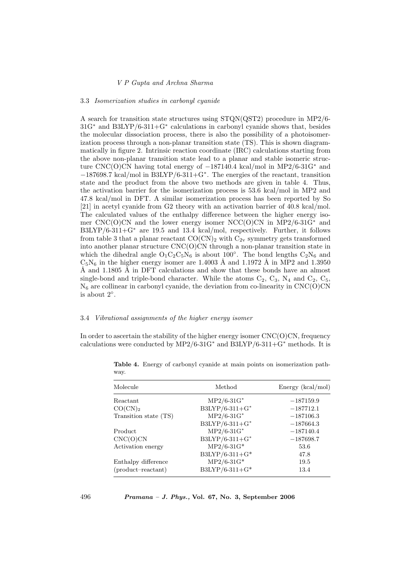#### 3.3 Isomerization studies in carbonyl cyanide

A search for transition state structures using STQN(QST2) procedure in MP2/6- 31G<sup>∗</sup> and B3LYP/6-311+G<sup>∗</sup> calculations in carbonyl cyanide shows that, besides the molecular dissociation process, there is also the possibility of a photoisomerization process through a non-planar transition state (TS). This is shown diagrammatically in figure 2. Intrinsic reaction coordinate (IRC) calculations starting from the above non-planar transition state lead to a planar and stable isomeric structure CNC(O)CN having total energy of −187140.4 kcal/mol in MP2/6-31G<sup>∗</sup> and −187698.7 kcal/mol in B3LYP/6-311+G<sup>∗</sup> . The energies of the reactant, transition state and the product from the above two methods are given in table 4. Thus, the activation barrier for the isomerization process is 53.6 kcal/mol in MP2 and 47.8 kcal/mol in DFT. A similar isomerization process has been reported by So [21] in acetyl cyanide from G2 theory with an activation barrier of 40.8 kcal/mol. The calculated values of the enthalpy difference between the higher energy isomer  $CNC(O)CN$  and the lower energy isomer  $NCC(O)CN$  in  $MP2/6-31G^*$  and B3LYP/6-311+G<sup>∗</sup> are 19.5 and 13.4 kcal/mol, respectively. Further, it follows from table 3 that a planar reactant  $CO(CN)_2$  with  $C_{2v}$  symmetry gets transformed into another planar structure CNC(O)CN through a non-planar transition state in which the dihedral angle  $O_1C_2C_5N_6$  is about 100°. The bond lengths  $C_2N_6$  and  $C_5N_6$  in the higher energy isomer are 1.4003 Å and 1.1972 Å in MP2 and 1.3950 Å and 1.1805 Å in DFT calculations and show that these bonds have an almost single-bond and triple-bond character. While the atoms  $C_2$ ,  $C_3$ ,  $N_4$  and  $C_2$ ,  $C_5$ ,  $N<sub>6</sub>$  are collinear in carbonyl cyanide, the deviation from co-linearity in CNC(O)CN is about 2◦ .

### 3.4 Vibrational assignments of the higher energy isomer

In order to ascertain the stability of the higher energy isomer  $CNC(O)CN$ , frequency calculations were conducted by MP2/6-31G<sup>\*</sup> and B3LYP/6-311+G<sup>\*</sup> methods. It is

| Molecule              | Method         | Energy (kcal/mol) |
|-----------------------|----------------|-------------------|
| Reactant              | $MP2/6-31G*$   | $-187159.9$       |
| CO(CN) <sub>2</sub>   | B3LYP/6-311+G* | $-187712.1$       |
| Transition state (TS) | $MP2/6-31G*$   | $-187106.3$       |
|                       | B3LYP/6-311+G* | $-187664.3$       |
| Product               | $MP2/6-31G*$   | $-187140.4$       |
| CNC(O)CN              | B3LYP/6-311+G* | $-187698.7$       |
| Activation energy     | $MP2/6-31G*$   | 53.6              |
|                       | B3LYP/6-311+G* | 47.8              |
| Enthalpy difference   | $MP2/6-31G*$   | 19.5              |
| $(product-reactant)$  | B3LYP/6-311+G* | 13.4              |

Table 4. Energy of carbonyl cyanide at main points on isomerization pathway.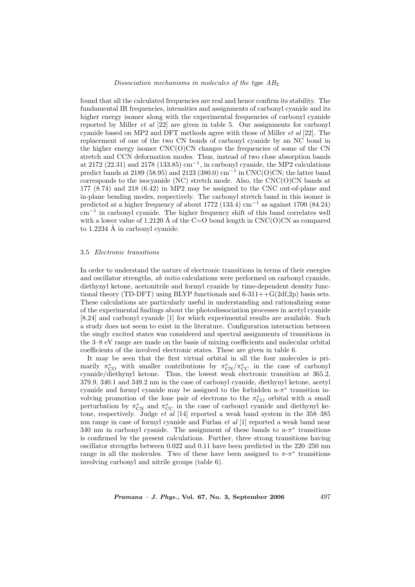found that all the calculated frequencies are real and hence confirm its stability. The fundamental IR frequencies, intensities and assignments of carbonyl cyanide and its higher energy isomer along with the experimental frequencies of carbonyl cyanide reported by Miller *et al*  $[22]$  are given in table 5. Our assignments for carbonyl cyanide based on MP2 and DFT methods agree with those of Miller et al [22]. The replacement of one of the two CN bonds of carbonyl cyanide by an NC bond in the higher energy isomer  $CNC(O)CN$  changes the frequencies of some of the  $CN$ stretch and CCN deformation modes. Thus, instead of two close absorption bands at 2172 (22.31) and 2178 (133.85)  $cm^{-1}$ , in carbonyl cyanide, the MP2 calculations predict bands at 2189 (58.95) and 2123 (380.0) cm<sup>-1</sup> in CNC(O)CN; the latter band corresponds to the isocyanide (NC) stretch mode. Also, the CNC(O)CN bands at 177 (8.74) and 218 (6.42) in MP2 may be assigned to the CNC out-of-plane and in-plane bending modes, respectively. The carbonyl stretch band in this isomer is predicted at a higher frequency of about 1772 (133.4) cm<sup>−</sup><sup>1</sup> as against 1700 (84.24) cm<sup>−</sup><sup>1</sup> in carbonyl cyanide. The higher frequency shift of this band correlates well with a lower value of 1.2120 Å of the C=O bond length in  $CNC(O)CN$  as compared to  $1.2234$  Å in carbonyl cyanide.

### 3.5 Electronic transitions

In order to understand the nature of electronic transitions in terms of their energies and oscillator strengths, ab initio calculations were performed on carbonyl cyanide, diethynyl ketone, acetonitrile and formyl cyanide by time-dependent density functional theory (TD-DFT) using BLYP functionals and  $6-311++G(2df,2p)$  basis sets. These calculations are particularly useful in understanding and rationalizing some of the experimental findings about the photodissociation processes in acetyl cyanide [8,24] and carbonyl cyanide [1] for which experimental results are available. Such a study does not seem to exist in the literature. Configuration interaction between the singly excited states was considered and spectral assignments of transitions in the 3–8 eV range are made on the basis of mixing coefficients and molecular orbital coefficients of the involved electronic states. These are given in table 6.

It may be seen that the first virtual orbital in all the four molecules is primarily  $\pi_{\rm CO}^*$  with smaller contributions by  $\pi_{\rm CN}^*/\pi_{\rm CC}^*$  in the case of carbonyl cyanide/diethynyl ketone. Thus, the lowest weak electronic transition at 365.2, 379.9, 340.1 and 349.2 nm in the case of carbonyl cyanide, diethynyl ketone, acetyl cyanide and formyl cyanide may be assigned to the forbidden  $n-\pi^*$  transition involving promotion of the lone pair of electrons to the  $\pi_{\rm CO}^*$  orbital with a small perturbation by  $\pi_{\text{CN}}^*$  and  $\pi_{\text{CC}}^*$  in the case of carbonyl cyanide and diethynyl ketone, respectively. Judge *et al* [14] reported a weak band system in the 358–385 nm range in case of formyl cyanide and Furlan *et al* [1] reported a weak band near 340 nm in carbonyl cyanide. The assignment of these bands to  $n-\pi^*$  transitions is confirmed by the present calculations. Further, three strong transitions having oscillator strengths between 0.022 and 0.11 have been predicted in the 220–250 nm range in all the molecules. Two of these have been assigned to  $\pi$ - $\pi$ <sup>\*</sup> transitions involving carbonyl and nitrile groups (table 6).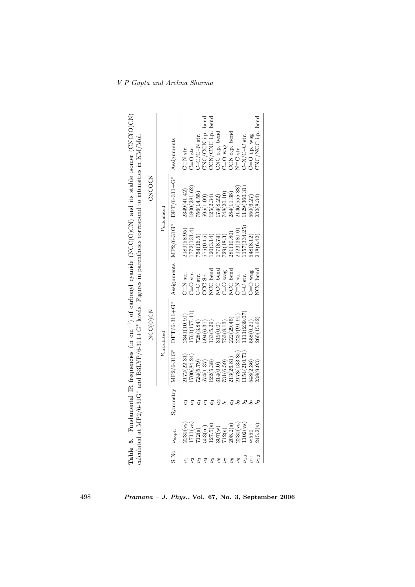|                            |                         |                 |                            |                                       |                               |             | calculated at MP2/6-31G* and B3LYP/6-311+G* levels. Figures in parenthesis correspond to intensities in KM/Mol | <b>Table 5.</b> Fundamental IR frequencies (in cm <sup>-1</sup> ) of carbonyl cyanide (NCC(O)CN) and its stable isomer (CNC(O)CN) |
|----------------------------|-------------------------|-----------------|----------------------------|---------------------------------------|-------------------------------|-------------|----------------------------------------------------------------------------------------------------------------|-----------------------------------------------------------------------------------------------------------------------------------|
|                            |                         |                 |                            | NCC(O)CN                              |                               |             | CNCOCK                                                                                                         |                                                                                                                                   |
|                            |                         |                 |                            | $\nu_{\rm calculated}$                |                               |             | $\nu_{\rm calculated}$                                                                                         |                                                                                                                                   |
| S.No. $\nu_{\text{expt.}}$ |                         |                 |                            | Symmetry $MP2/6-31G*$ DFT/6-311+ $G*$ |                               |             | Assignments MP2/6-31G* DFT/6-311+G*                                                                            | Assignments                                                                                                                       |
| 2                          | 230(ys)                 |                 | 172(22.31)                 | 2341(10.90)                           | $C \equiv N$ str.             | 2189(58.95) | 2349(41.42)                                                                                                    | $C \equiv N \text{ str.}$                                                                                                         |
| $\mathcal{L}_{2}$          | 711(vs)                 |                 | 700(84.24)                 | 761(177.41)                           | $C = O$ str.                  | 772(133.4)  | 800(281.62)                                                                                                    | $C = O$ str.                                                                                                                      |
| Ľ3                         | 712(s)                  |                 | $724(5.79)$<br>$574(1.37)$ | 28(3.84)                              | C-C str.                      | 54(16.5)    | 756(14.55)                                                                                                     | $C-C/C-N$ str.                                                                                                                    |
| $\overline{\nu}_4$         | 553(m)                  |                 |                            | 594(6.37)                             | CCC Sc.                       | 575(0.15)   | 595(1.09)                                                                                                      | CNC/CCN i.p. bend                                                                                                                 |
| 27                         | .27.5(s)                |                 |                            | 33(5.29)                              | NCC bend                      | 20(3.14)    | (25(2.34)                                                                                                      | CN/CNC i.p. bend                                                                                                                  |
| $\mathcal{V}_{6}$          | $\frac{307(w)}{712(s)}$ |                 | $122(5.38)$<br>$314(0.0)$  | 119(0.0)                              | NCC bend                      | 77(8.74)    | .74(8.22)                                                                                                      | CNC o.p. bend                                                                                                                     |
| 74                         |                         | $\frac{2}{b_1}$ | 31(6.59)                   | 53(8.13)                              | $C = O$ wag                   | 729(18.3)   | (48(20.10))                                                                                                    | $C = O$ wag                                                                                                                       |
| $\overline{\nu_8}$         | 2(s)                    |                 | 13(26.81)                  | 22(29.45)                             | NCC bend                      | 281(10.80)  | 284(11.38)                                                                                                     | CCN o.p. bend                                                                                                                     |
| $\mathcal{L}_{9}$          | 230(ys)                 |                 | (178(133.85))              | 237(91.91                             | $\Box \equiv N \sin \theta$ . | 2123(380.0  | 146(555.88)                                                                                                    | $\mathbf{N} \!\equiv\! \mathbf{C}$ str.                                                                                           |
| $\nu_{10}$                 | 102(vs)                 |                 | 154(210.71                 | 111 (239.07)                          | C-C str.                      | 157(334.25) | 129(360.31                                                                                                     | $C-N/C-C$ str.                                                                                                                    |
| $\nu_{11}$                 | $\approx 550$           |                 | 48(2.36)                   | 58(0.21)                              | $C = O$ wag                   | 648(8.12)   | 50(6.27)                                                                                                       | $C = O$ i.p. wag                                                                                                                  |
| $v_{12}$                   | 245.2(s)                |                 | <b>238(9.93)</b>           | 260(15.62)                            | NCC bend                      | 218(6.42)   | 232(8.34)                                                                                                      | CNC/NCC i.p. bend                                                                                                                 |

V P Gupta and Archna Sharma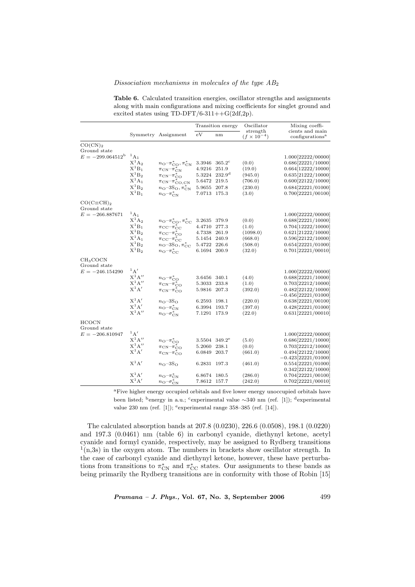### Dissociation mechanisms in molecules of the type  $AB_2$

Table 6. Calculated transition energies, oscillator strengths and assignments along with main configurations and mixing coefficients for singlet ground and excited states using  $TD-DFT/6-311++G(2df,2p)$ .

|                                                               |                            |                                                                                         |              | Transition energy         | Oscillator                       | Mixing coeffi-                                 |
|---------------------------------------------------------------|----------------------------|-----------------------------------------------------------------------------------------|--------------|---------------------------|----------------------------------|------------------------------------------------|
|                                                               |                            | Symmetry Assignment                                                                     | eV           | nm                        | strength<br>$(f \times 10^{-4})$ | cients and main<br>configurations <sup>a</sup> |
| CO(CN) <sub>2</sub>                                           |                            |                                                                                         |              |                           |                                  |                                                |
| Ground state<br>$E = -299.064512^{b}$ ${}^{1}$ A <sub>1</sub> |                            |                                                                                         |              |                           |                                  |                                                |
|                                                               | $X^1A_2$                   |                                                                                         | 3.3946       | $365.2^{\circ}$           | (0.0)                            | 1.000 [22222/00000]<br>0.686[22221/10000]      |
|                                                               | $X^1B_1$                   | $n_{\rm O}$ - $\pi_{\rm CO}^*$ , $\pi_{\rm CN}^*$                                       | 4.9216       | 251.9                     | (19.0)                           | 0.664 [12222/10000]                            |
|                                                               | $X^{1}B_{2}$               | $\pi_{\rm CN} - \pi_{\rm CN}^*$                                                         | 5.3224       | $232.9^{d}$               | (945.0)                          | 0.635[21222/10000]                             |
|                                                               | $X^1A_1$                   | $\pi_{\rm CN} - \pi_{\rm CO}^*$                                                         | 5.6472       | 219.5                     | (706.0)                          | 0.600[22122/10000]                             |
|                                                               | $\mathbf{X}^1\mathbf{B}_2$ | $\pi_{\rm CN}$ - $\pi_{\rm CO,CN}^*$<br>$n_{\rm O}$ -3S <sub>O</sub> , $\pi_{\rm CN}^*$ | 5.9655       | 207.8                     | (230.0)                          | 0.684 22221 / 01000                            |
|                                                               | $X^1B_1$                   | $n_{\rm O}$ - $\pi_{\rm CN}^*$                                                          | 7.0713 175.3 |                           | (3.0)                            | 0.700[22221/00100]                             |
| $CO(C\equiv CH)_{2}$                                          |                            |                                                                                         |              |                           |                                  |                                                |
| Ground state                                                  |                            |                                                                                         |              |                           |                                  |                                                |
| $E = -266.887671$                                             | $^{1}$ A <sub>1</sub>      |                                                                                         |              |                           |                                  | 1.000 [22222 / 00000]                          |
|                                                               | $X^1A_2$                   | $n_{\rm O}$ - $\pi_{\rm CO}^*$ , $\pi_{\rm CC}^*$                                       | 3.2635       | 379.9                     | (0.0)                            | 0.688 [22221/10000]                            |
|                                                               | $\mathbf{X}^1\mathbf{B}_1$ | $\pi_{\mathrm{CC}} - \pi_{\mathrm{CC}}^*$                                               | 4.4710       | 277.3                     | (1.0)                            | 0.704 [12222/10000]                            |
|                                                               | $\mathbf{X}^1\mathbf{B}_2$ | $\pi$ <sub>CC</sub> $-\pi$ <sup>*</sup> <sub>CO</sub>                                   | 4.7338       | 261.9                     | (1098.0)                         | 0.621 [21222/10000]                            |
|                                                               | $X^1A_1$                   | $\pi_{\mathrm{CC}} - \pi_{\mathrm{CC}}^*$                                               | 5.1454 240.9 |                           | (668.0)                          | 0.596 [22122/10000]                            |
|                                                               | $X^{1}B_{2}$               | $n_{\rm O}$ -3S <sub>O</sub> , $\pi_{\rm CC}^*$                                         | 5.4722 226.6 |                           | (508.0)                          | 0.654 [22221/01000]                            |
|                                                               | $X^1B_2$                   | $n_{\rm O}$ - $\pi_{\rm CC}^*$                                                          | 6.1694 200.9 |                           | (32.0)                           | 0.701 [22221/00010]                            |
| CH <sub>3</sub> COCN                                          |                            |                                                                                         |              |                           |                                  |                                                |
| Ground state                                                  |                            |                                                                                         |              |                           |                                  |                                                |
| $E = -246.154290$                                             | $1_A'$                     |                                                                                         |              |                           |                                  | 1.000 [22222 / 00000]                          |
|                                                               | $X^1A''$                   | $n_{\rm O}$ - $\pi_{\rm CO}^*$                                                          | 3.6456 340.1 |                           | (4.0)                            | 0.688 [22221/10000]                            |
|                                                               | $X^1A''$                   | $\pi_{\rm CN} - \pi_{\rm CO}$                                                           | 5.3033       | 233.8                     | (1.0)                            | 0.703 [22212/10000]                            |
|                                                               | $X^1A'$                    | $\pi_{\rm CN}$ $-\pi_{\rm CO}^*$                                                        | 5.9816       | 207.3                     | (392.0)                          | 0.482 [22122/10000]                            |
|                                                               |                            |                                                                                         |              |                           |                                  | $-0.456[22221/01000]$                          |
|                                                               | $X^1A'$                    | $n_{\rm O}$ -3S <sub>O</sub>                                                            | 6.2593       | 198.1                     | (220.0)                          | 0.638[22221/00100]                             |
|                                                               | $X^1A'$                    | $n_{\rm O}$ - $\pi_{\rm CN}^*$                                                          | 6.3994 193.7 |                           | (397.0)                          | 0.428 [22221/01000]                            |
|                                                               | $X^1A''$                   | $n_{\rm O}$ - $\sigma_{\rm CN}^*$                                                       | 7.1291 173.9 |                           | (22.0)                           | 0.631[22221/00010]                             |
| <b>HCOCN</b>                                                  |                            |                                                                                         |              |                           |                                  |                                                |
| Ground state                                                  | $^1$ A $'$                 |                                                                                         |              |                           |                                  |                                                |
| $E = -206.810947$                                             | $X^1A''$                   |                                                                                         |              |                           |                                  | 1.000 [22222 / 00000]                          |
|                                                               | $X^1A''$                   | $n_{\rm O}$ - $\pi_{\rm CO}^*$                                                          |              | 3.5504 349.2 <sup>e</sup> | (5.0)                            | 0.686[22221/10000]                             |
|                                                               | $X^1A'$                    | $\pi_{\rm CN}$ $-\pi_{\rm CO}^*$                                                        | 5.2060       | 238.1                     | (0.0)                            | 0.703 [22212/10000]                            |
|                                                               |                            | $\pi_{\rm CN}$ $-\pi_{\rm CO}^*$                                                        | 6.0849       | 203.7                     | (661.0)                          | 0.494 [22122/10000]                            |
|                                                               | $X^1A'$                    |                                                                                         |              |                           |                                  | $-0.423[22221/01000]$                          |
|                                                               |                            | $n_{\Omega}$ -3S $_{\Omega}$                                                            | 6.2831 197.3 |                           | (461.0)                          | 0.554 [22221/01000]                            |
|                                                               | $X^1A'$                    |                                                                                         | 6.8674 180.5 |                           | (286.0)                          | 0.342[22122/10000]<br>0.704 [22221/00100]      |
|                                                               | $X^1A'$                    | $n_{\rm O}$ - $\pi_{\rm CN}^*$                                                          | 7.8612 157.7 |                           | (242.0)                          | 0.702 [22221/00010]                            |
|                                                               |                            | $n_{\rm O}$ – $\sigma_{\rm CN}^*$                                                       |              |                           |                                  |                                                |

<sup>a</sup>Five higher energy occupied orbitals and five lower energy unoccupied orbitals have been listed; <sup>b</sup>energy in a.u.; <sup>c</sup>experimental value ∼340 nm (ref. [1]); <sup>d</sup>experimental value 230 nm (ref. [1]); <sup>e</sup>experimental range 358–385 (ref. [14]).

The calculated absorption bands at 207.8 (0.0230), 226.6 (0.0508), 198.1 (0.0220) and 197.3 (0.0461) nm (table 6) in carbonyl cyanide, diethynyl ketone, acetyl cyanide and formyl cyanide, respectively, may be assigned to Rydberg transitions  $<sup>1</sup>(n,3s)$  in the oxygen atom. The numbers in brackets show oscillator strength. In</sup> the case of carbonyl cyanide and diethynyl ketone, however, these have perturbations from transitions to  $\pi_{\text{CN}}^*$  and  $\pi_{\text{CC}}^*$  states. Our assignments to these bands as being primarily the Rydberg transitions are in conformity with those of Robin [15]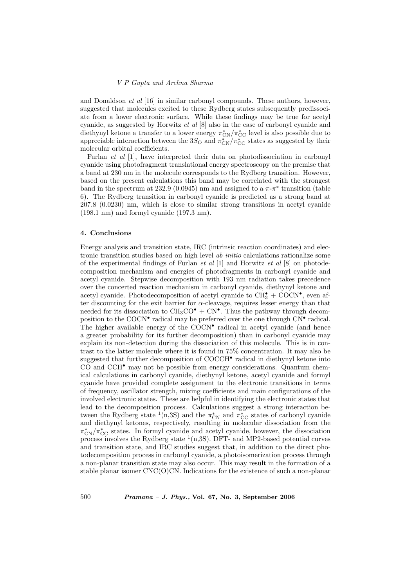and Donaldson *et al* [16] in similar carbonyl compounds. These authors, however, suggested that molecules excited to these Rydberg states subsequently predissociate from a lower electronic surface. While these findings may be true for acetyl cyanide, as suggested by Horwitz et al [8] also in the case of carbonyl cyanide and diethynyl ketone a transfer to a lower energy  $\pi_{\rm CN}^*/\pi_{\rm CC}^*$  level is also possible due to appreciable interaction between the 3S<sub>O</sub> and  $\pi_{\text{CN}}^*/\pi_{\text{CC}}^*$  states as suggested by their molecular orbital coefficients.

Furlan et al [1], have interpreted their data on photodissociation in carbonyl cyanide using photofragment translational energy spectroscopy on the premise that a band at 230 nm in the molecule corresponds to the Rydberg transition. However, based on the present calculations this band may be correlated with the strongest band in the spectrum at 232.9 (0.0945) nm and assigned to a  $\pi$ - $\pi$ <sup>\*</sup> transition (table 6). The Rydberg transition in carbonyl cyanide is predicted as a strong band at 207.8 (0.0230) nm, which is close to similar strong transitions in acetyl cyanide (198.1 nm) and formyl cyanide (197.3 nm).

# 4. Conclusions

Energy analysis and transition state, IRC (intrinsic reaction coordinates) and electronic transition studies based on high level ab initio calculations rationalize some of the experimental findings of Furlan  $et$  al  $[1]$  and Horwitz  $et$  al  $[8]$  on photodecomposition mechanism and energies of photofragments in carbonyl cyanide and acetyl cyanide. Stepwise decomposition with 193 nm radiation takes precedence over the concerted reaction mechanism in carbonyl cyanide, diethynyl ketone and acetyl cyanide. Photodecomposition of acetyl cyanide to  $\text{CH}_3^{\bullet} + \text{COCN}^{\bullet}$ , even after discounting for the exit barrier for  $\alpha$ -cleavage, requires lesser energy than that needed for its dissociation to  $CH_3CO^{\bullet} + CN^{\bullet}$ . Thus the pathway through decomposition to the COCN<sup>•</sup> radical may be preferred over the one through CN<sup>•</sup> radical. The higher available energy of the COCN<sup>•</sup> radical in acetyl cyanide (and hence a greater probability for its further decomposition) than in carbonyl cyanide may explain its non-detection during the dissociation of this molecule. This is in contrast to the latter molecule where it is found in 75% concentration. It may also be suggested that further decomposition of COCCH<sup>•</sup> radical in diethynyl ketone into CO and CCH• may not be possible from energy considerations. Quantum chemical calculations in carbonyl cyanide, diethynyl ketone, acetyl cyanide and formyl cyanide have provided complete assignment to the electronic transitions in terms of frequency, oscillator strength, mixing coefficients and main configurations of the involved electronic states. These are helpful in identifying the electronic states that lead to the decomposition process. Calculations suggest a strong interaction between the Rydberg state <sup>1</sup>(n,3S) and the  $\pi_{\text{CN}}^*$  and  $\pi_{\text{CC}}^*$  states of carbonyl cyanide and diethynyl ketones, respectively, resulting in molecular dissociation from the  $\pi_{\text{CN}}^*/\pi_{\text{CC}}^*$  states. In formyl cyanide and acetyl cyanide, however, the dissociation process involves the Rydberg state  $(1,3S)$ . DFT- and MP2-based potential curves and transition state, and IRC studies suggest that, in addition to the direct photodecomposition process in carbonyl cyanide, a photoisomerization process through a non-planar transition state may also occur. This may result in the formation of a stable planar isomer  $CNC(O)CN$ . Indications for the existence of such a non-planar